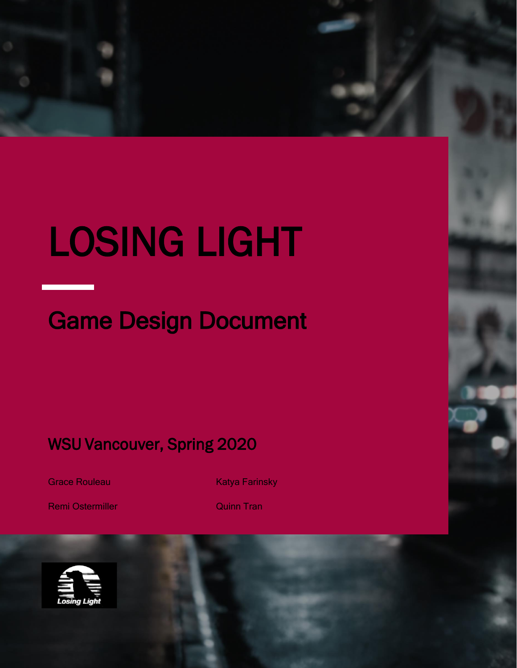# LOSING LIGHT

# Game Design Document

WSU Vancouver, Spring 2020

Grace Rouleau

Katya Farinsky

Remi Ostermiller

Quinn Tran

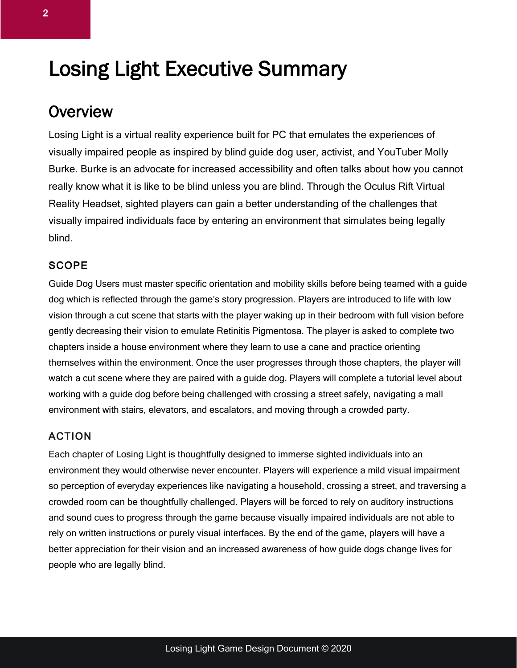# Losing Light Executive Summary

### **Overview**

Losing Light is a virtual reality experience built for PC that emulates the experiences of visually impaired people as inspired by blind guide dog user, activist, and YouTuber Molly Burke. Burke is an advocate for increased accessibility and often talks about how you cannot really know what it is like to be blind unless you are blind. Through the Oculus Rift Virtual Reality Headset, sighted players can gain a better understanding of the challenges that visually impaired individuals face by entering an environment that simulates being legally blind.

#### **SCOPE**

Guide Dog Users must master specific orientation and mobility skills before being teamed with a guide dog which is reflected through the game's story progression. Players are introduced to life with low vision through a cut scene that starts with the player waking up in their bedroom with full vision before gently decreasing their vision to emulate Retinitis Pigmentosa. The player is asked to complete two chapters inside a house environment where they learn to use a cane and practice orienting themselves within the environment. Once the user progresses through those chapters, the player will watch a cut scene where they are paired with a guide dog. Players will complete a tutorial level about working with a guide dog before being challenged with crossing a street safely, navigating a mall environment with stairs, elevators, and escalators, and moving through a crowded party.

#### ACTION

Each chapter of Losing Light is thoughtfully designed to immerse sighted individuals into an environment they would otherwise never encounter. Players will experience a mild visual impairment so perception of everyday experiences like navigating a household, crossing a street, and traversing a crowded room can be thoughtfully challenged. Players will be forced to rely on auditory instructions and sound cues to progress through the game because visually impaired individuals are not able to rely on written instructions or purely visual interfaces. By the end of the game, players will have a better appreciation for their vision and an increased awareness of how guide dogs change lives for people who are legally blind.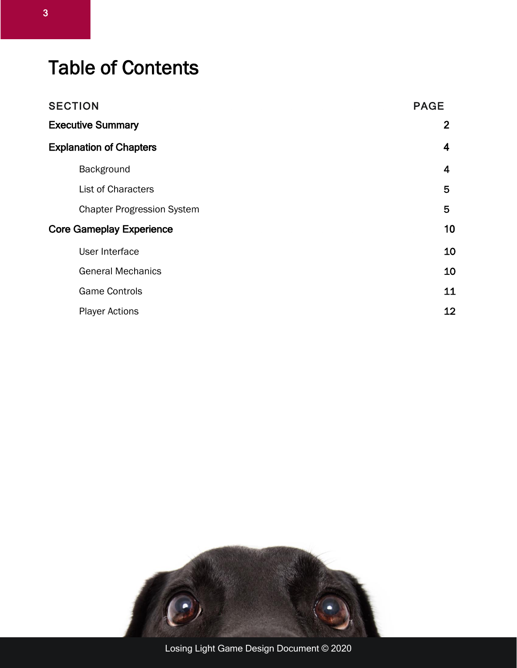# Table of Contents

| <b>SECTION</b>                  |                                   | <b>PAGE</b>    |  |
|---------------------------------|-----------------------------------|----------------|--|
| <b>Executive Summary</b>        |                                   | $\overline{2}$ |  |
| <b>Explanation of Chapters</b>  |                                   | 4              |  |
|                                 | Background                        | 4              |  |
|                                 | <b>List of Characters</b>         | 5              |  |
|                                 | <b>Chapter Progression System</b> | 5              |  |
| <b>Core Gameplay Experience</b> |                                   | 10             |  |
|                                 | User Interface                    | 10             |  |
|                                 | <b>General Mechanics</b>          | 10             |  |
|                                 | <b>Game Controls</b>              | 11             |  |
|                                 | <b>Player Actions</b>             | 12             |  |
|                                 |                                   |                |  |

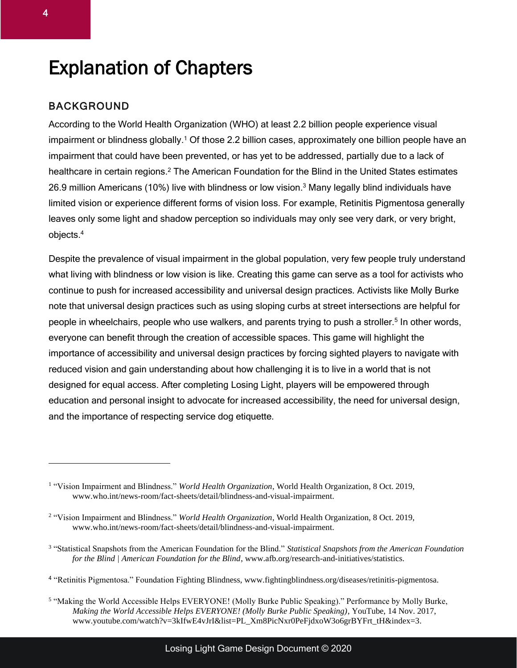# Explanation of Chapters

#### BACKGROUND

According to the World Health Organization (WHO) at least 2.2 billion people experience visual impairment or blindness globally.<sup>1</sup> Of those 2.2 billion cases, approximately one billion people have an impairment that could have been prevented, or has yet to be addressed, partially due to a lack of healthcare in certain regions.<sup>2</sup> The American Foundation for the Blind in the United States estimates 26.9 million Americans (10%) live with blindness or low vision.<sup>3</sup> Many legally blind individuals have limited vision or experience different forms of vision loss. For example, Retinitis Pigmentosa generally leaves only some light and shadow perception so individuals may only see very dark, or very bright, objects. 4

Despite the prevalence of visual impairment in the global population, very few people truly understand what living with blindness or low vision is like. Creating this game can serve as a tool for activists who continue to push for increased accessibility and universal design practices. Activists like Molly Burke note that universal design practices such as using sloping curbs at street intersections are helpful for people in wheelchairs, people who use walkers, and parents trying to push a stroller.<sup>5</sup> In other words, everyone can benefit through the creation of accessible spaces. This game will highlight the importance of accessibility and universal design practices by forcing sighted players to navigate with reduced vision and gain understanding about how challenging it is to live in a world that is not designed for equal access. After completing Losing Light, players will be empowered through education and personal insight to advocate for increased accessibility, the need for universal design, and the importance of respecting service dog etiquette.

<sup>&</sup>lt;sup>1</sup> "Vision Impairment and Blindness." *World Health Organization*, World Health Organization, 8 Oct. 2019, www.who.int/news-room/fact-sheets/detail/blindness-and-visual-impairment.

<sup>2</sup> "Vision Impairment and Blindness." *World Health Organization*, World Health Organization, 8 Oct. 2019, www.who.int/news-room/fact-sheets/detail/blindness-and-visual-impairment.

<sup>3</sup> "Statistical Snapshots from the American Foundation for the Blind." *Statistical Snapshots from the American Foundation for the Blind | American Foundation for the Blind*, www.afb.org/research-and-initiatives/statistics.

<sup>4</sup> "Retinitis Pigmentosa." Foundation Fighting Blindness, www.fightingblindness.org/diseases/retinitis-pigmentosa.

<sup>5</sup> "Making the World Accessible Helps EVERYONE! (Molly Burke Public Speaking)." Performance by Molly Burke, *Making the World Accessible Helps EVERYONE! (Molly Burke Public Speaking)*, YouTube, 14 Nov. 2017, www.youtube.com/watch?v=3kIfwE4vJrI&list=PL\_Xm8PicNxr0PeFjdxoW3o6grBYFrt\_tH&index=3.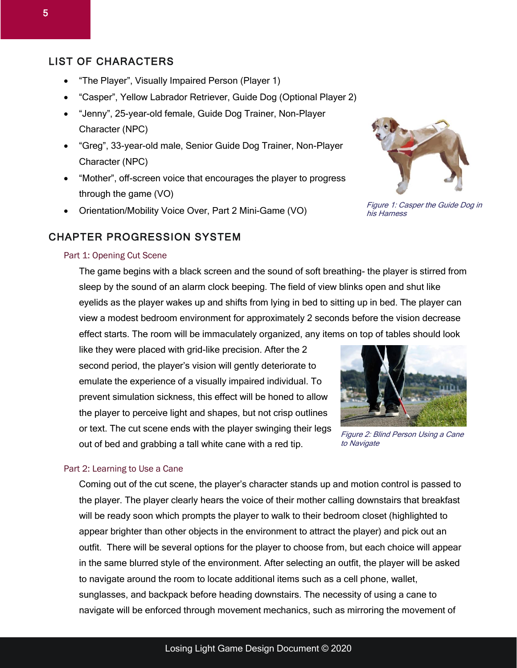#### LIST OF CHARACTERS

- "The Player", Visually Impaired Person (Player 1)
- "Casper", Yellow Labrador Retriever, Guide Dog (Optional Player 2)
- "Jenny", 25-year-old female, Guide Dog Trainer, Non-Player Character (NPC)
- "Greg", 33-year-old male, Senior Guide Dog Trainer, Non-Player Character (NPC)
- "Mother", off-screen voice that encourages the player to progress through the game (VO)
- Orientation/Mobility Voice Over, Part 2 Mini-Game (VO)

#### CHAPTER PROGRESSION SYSTEM

#### Part 1: Opening Cut Scene

The game begins with a black screen and the sound of soft breathing- the player is stirred from sleep by the sound of an alarm clock beeping. The field of view blinks open and shut like eyelids as the player wakes up and shifts from lying in bed to sitting up in bed. The player can view a modest bedroom environment for approximately 2 seconds before the vision decrease effect starts. The room will be immaculately organized, any items on top of tables should look

like they were placed with grid-like precision. After the 2 second period, the player's vision will gently deteriorate to emulate the experience of a visually impaired individual. To prevent simulation sickness, this effect will be honed to allow the player to perceive light and shapes, but not crisp outlines or text. The cut scene ends with the player swinging their legs out of bed and grabbing a tall white cane with a red tip.

#### Part 2: Learning to Use a Cane

Coming out of the cut scene, the player's character stands up and motion control is passed to the player. The player clearly hears the voice of their mother calling downstairs that breakfast will be ready soon which prompts the player to walk to their bedroom closet (highlighted to appear brighter than other objects in the environment to attract the player) and pick out an outfit. There will be several options for the player to choose from, but each choice will appear in the same blurred style of the environment. After selecting an outfit, the player will be asked to navigate around the room to locate additional items such as a cell phone, wallet, sunglasses, and backpack before heading downstairs. The necessity of using a cane to navigate will be enforced through movement mechanics, such as mirroring the movement of



Figure 1: Casper the Guide Dog in his Harness



Figure 2: Blind Person Using a Cane to Navigate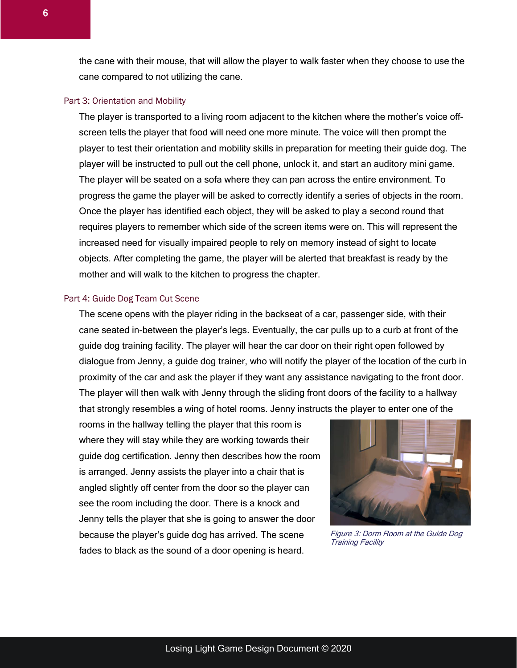the cane with their mouse, that will allow the player to walk faster when they choose to use the cane compared to not utilizing the cane.

#### Part 3: Orientation and Mobility

The player is transported to a living room adjacent to the kitchen where the mother's voice offscreen tells the player that food will need one more minute. The voice will then prompt the player to test their orientation and mobility skills in preparation for meeting their guide dog. The player will be instructed to pull out the cell phone, unlock it, and start an auditory mini game. The player will be seated on a sofa where they can pan across the entire environment. To progress the game the player will be asked to correctly identify a series of objects in the room. Once the player has identified each object, they will be asked to play a second round that requires players to remember which side of the screen items were on. This will represent the increased need for visually impaired people to rely on memory instead of sight to locate objects. After completing the game, the player will be alerted that breakfast is ready by the mother and will walk to the kitchen to progress the chapter.

#### Part 4: Guide Dog Team Cut Scene

The scene opens with the player riding in the backseat of a car, passenger side, with their cane seated in-between the player's legs. Eventually, the car pulls up to a curb at front of the guide dog training facility. The player will hear the car door on their right open followed by dialogue from Jenny, a guide dog trainer, who will notify the player of the location of the curb in proximity of the car and ask the player if they want any assistance navigating to the front door. The player will then walk with Jenny through the sliding front doors of the facility to a hallway that strongly resembles a wing of hotel rooms. Jenny instructs the player to enter one of the

rooms in the hallway telling the player that this room is where they will stay while they are working towards their guide dog certification. Jenny then describes how the room is arranged. Jenny assists the player into a chair that is angled slightly off center from the door so the player can see the room including the door. There is a knock and Jenny tells the player that she is going to answer the door because the player's guide dog has arrived. The scene fades to black as the sound of a door opening is heard.



Figure 3: Dorm Room at the Guide Dog Training Facility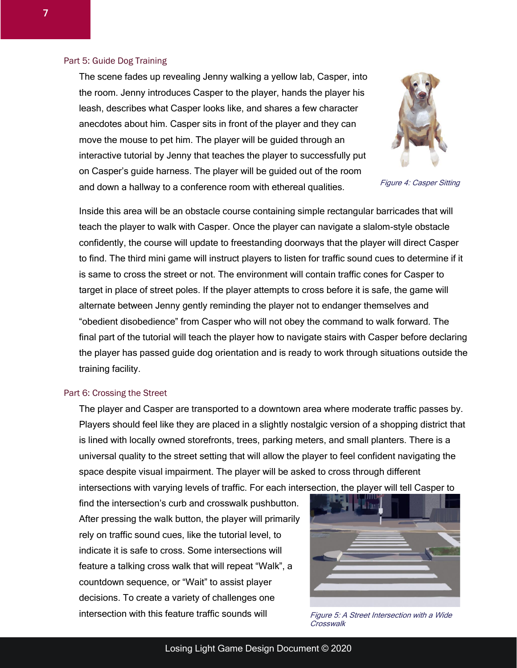#### Part 5: Guide Dog Training

Figure 4: Casper Sitting

The scene fades up revealing Jenny walking a yellow lab, Casper, into the room. Jenny introduces Casper to the player, hands the player his leash, describes what Casper looks like, and shares a few character anecdotes about him. Casper sits in front of the player and they can move the mouse to pet him. The player will be guided through an interactive tutorial by Jenny that teaches the player to successfully put on Casper's guide harness. The player will be guided out of the room and down a hallway to a conference room with ethereal qualities.

Inside this area will be an obstacle course containing simple rectangular barricades that will teach the player to walk with Casper. Once the player can navigate a slalom-style obstacle confidently, the course will update to freestanding doorways that the player will direct Casper to find. The third mini game will instruct players to listen for traffic sound cues to determine if it is same to cross the street or not. The environment will contain traffic cones for Casper to target in place of street poles. If the player attempts to cross before it is safe, the game will alternate between Jenny gently reminding the player not to endanger themselves and "obedient disobedience" from Casper who will not obey the command to walk forward. The final part of the tutorial will teach the player how to navigate stairs with Casper before declaring the player has passed guide dog orientation and is ready to work through situations outside the training facility.

#### Part 6: Crossing the Street

The player and Casper are transported to a downtown area where moderate traffic passes by. Players should feel like they are placed in a slightly nostalgic version of a shopping district that is lined with locally owned storefronts, trees, parking meters, and small planters. There is a universal quality to the street setting that will allow the player to feel confident navigating the space despite visual impairment. The player will be asked to cross through different intersections with varying levels of traffic. For each intersection, the player will tell Casper to

find the intersection's curb and crosswalk pushbutton. After pressing the walk button, the player will primarily rely on traffic sound cues, like the tutorial level, to indicate it is safe to cross. Some intersections will feature a talking cross walk that will repeat "Walk", a countdown sequence, or "Wait" to assist player decisions. To create a variety of challenges one intersection with this feature traffic sounds will



Figure 5: A Street Intersection with a Wide **Crosswalk**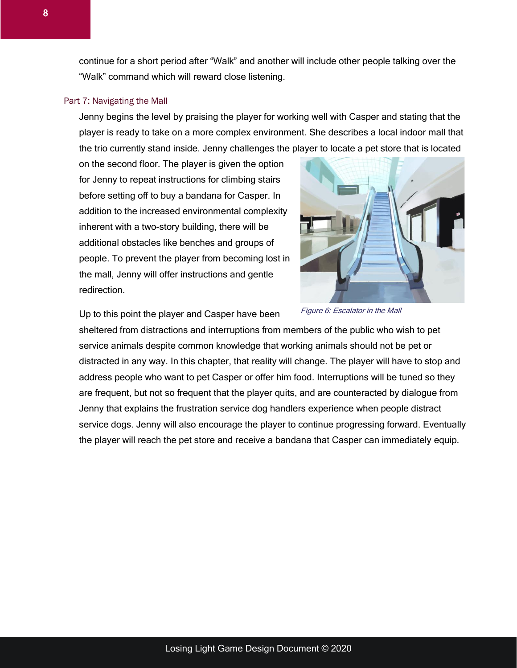continue for a short period after "Walk" and another will include other people talking over the "Walk" command which will reward close listening.

#### Part 7: Navigating the Mall

Jenny begins the level by praising the player for working well with Casper and stating that the player is ready to take on a more complex environment. She describes a local indoor mall that the trio currently stand inside. Jenny challenges the player to locate a pet store that is located

on the second floor. The player is given the option for Jenny to repeat instructions for climbing stairs before setting off to buy a bandana for Casper. In addition to the increased environmental complexity inherent with a two-story building, there will be additional obstacles like benches and groups of people. To prevent the player from becoming lost in the mall, Jenny will offer instructions and gentle redirection.



Up to this point the player and Casper have been

sheltered from distractions and interruptions from members of the public who wish to pet service animals despite common knowledge that working animals should not be pet or distracted in any way. In this chapter, that reality will change. The player will have to stop and address people who want to pet Casper or offer him food. Interruptions will be tuned so they are frequent, but not so frequent that the player quits, and are counteracted by dialogue from Jenny that explains the frustration service dog handlers experience when people distract service dogs. Jenny will also encourage the player to continue progressing forward. Eventually the player will reach the pet store and receive a bandana that Casper can immediately equip.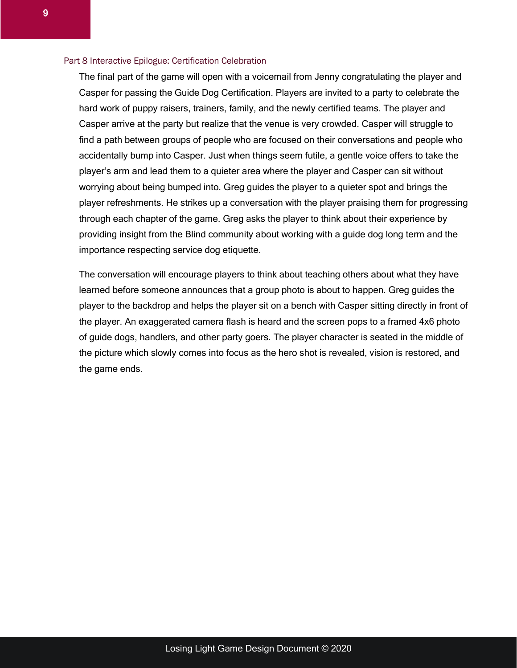#### Part 8 Interactive Epilogue: Certification Celebration

The final part of the game will open with a voicemail from Jenny congratulating the player and Casper for passing the Guide Dog Certification. Players are invited to a party to celebrate the hard work of puppy raisers, trainers, family, and the newly certified teams. The player and Casper arrive at the party but realize that the venue is very crowded. Casper will struggle to find a path between groups of people who are focused on their conversations and people who accidentally bump into Casper. Just when things seem futile, a gentle voice offers to take the player's arm and lead them to a quieter area where the player and Casper can sit without worrying about being bumped into. Greg guides the player to a quieter spot and brings the player refreshments. He strikes up a conversation with the player praising them for progressing through each chapter of the game. Greg asks the player to think about their experience by providing insight from the Blind community about working with a guide dog long term and the importance respecting service dog etiquette.

The conversation will encourage players to think about teaching others about what they have learned before someone announces that a group photo is about to happen. Greg guides the player to the backdrop and helps the player sit on a bench with Casper sitting directly in front of the player. An exaggerated camera flash is heard and the screen pops to a framed 4x6 photo of guide dogs, handlers, and other party goers. The player character is seated in the middle of the picture which slowly comes into focus as the hero shot is revealed, vision is restored, and the game ends.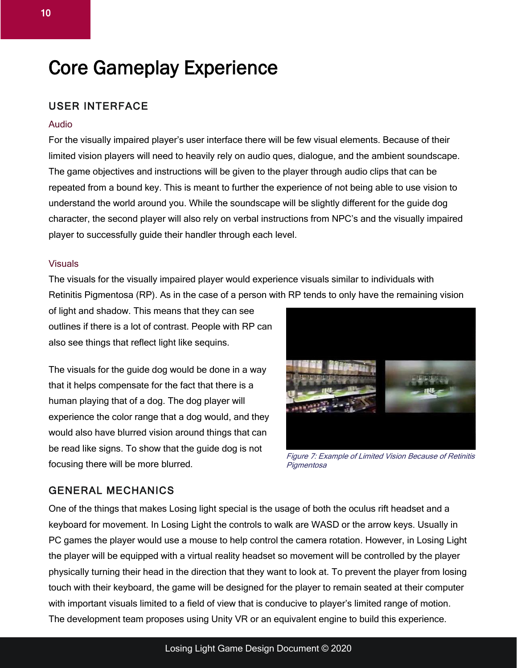## Core Gameplay Experience

#### USER INTERFACE

#### Audio

For the visually impaired player's user interface there will be few visual elements. Because of their limited vision players will need to heavily rely on audio ques, dialogue, and the ambient soundscape. The game objectives and instructions will be given to the player through audio clips that can be repeated from a bound key. This is meant to further the experience of not being able to use vision to understand the world around you. While the soundscape will be slightly different for the guide dog character, the second player will also rely on verbal instructions from NPC's and the visually impaired player to successfully guide their handler through each level.

#### Visuals

The visuals for the visually impaired player would experience visuals similar to individuals with Retinitis Pigmentosa (RP). As in the case of a person with RP tends to only have the remaining vision

of light and shadow. This means that they can see outlines if there is a lot of contrast. People with RP can also see things that reflect light like sequins.

The visuals for the guide dog would be done in a way that it helps compensate for the fact that there is a human playing that of a dog. The dog player will experience the color range that a dog would, and they would also have blurred vision around things that can be read like signs. To show that the guide dog is not focusing there will be more blurred.



Figure 7: Example of Limited Vision Because of Retinitis **Pigmentosa** 

#### GENERAL MECHANICS

One of the things that makes Losing light special is the usage of both the oculus rift headset and a keyboard for movement. In Losing Light the controls to walk are WASD or the arrow keys. Usually in PC games the player would use a mouse to help control the camera rotation. However, in Losing Light the player will be equipped with a virtual reality headset so movement will be controlled by the player physically turning their head in the direction that they want to look at. To prevent the player from losing touch with their keyboard, the game will be designed for the player to remain seated at their computer with important visuals limited to a field of view that is conducive to player's limited range of motion. The development team proposes using Unity VR or an equivalent engine to build this experience.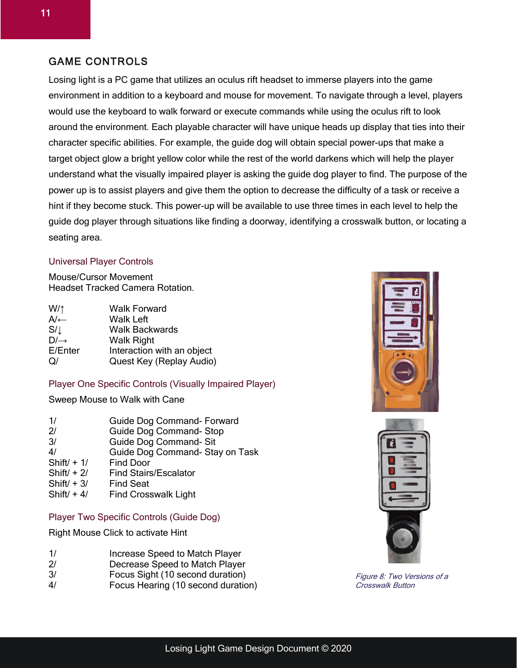#### GAME CONTROLS

Losing light is a PC game that utilizes an oculus rift headset to immerse players into the game environment in addition to a keyboard and mouse for movement. To navigate through a level, players would use the keyboard to walk forward or execute commands while using the oculus rift to look around the environment. Each playable character will have unique heads up display that ties into their character specific abilities. For example, the guide dog will obtain special power-ups that make a target object glow a bright yellow color while the rest of the world darkens which will help the player understand what the visually impaired player is asking the guide dog player to find. The purpose of the power up is to assist players and give them the option to decrease the difficulty of a task or receive a hint if they become stuck. This power-up will be available to use three times in each level to help the guide dog player through situations like finding a doorway, identifying a crosswalk button, or locating a seating area.

#### Universal Player Controls

Mouse/Cursor Movement Headset Tracked Camera Rotation.

| $W/\uparrow$    | <b>Walk Forward</b>        |
|-----------------|----------------------------|
| $A/\leftarrow$  | <b>Walk Left</b>           |
| $S/\downarrow$  | <b>Walk Backwards</b>      |
| $D/\rightarrow$ | <b>Walk Right</b>          |
| E/Enter         | Interaction with an object |
| $\Omega$        | Quest Key (Replay Audio)   |

#### Player One Specific Controls (Visually Impaired Player)

Sweep Mouse to Walk with Cane

| 1/             | Guide Dog Command- Forward      |
|----------------|---------------------------------|
| 2 <sup>1</sup> | <b>Guide Dog Command- Stop</b>  |
| 3/             | Guide Dog Command- Sit          |
| 4/             | Guide Dog Command- Stay on Task |
| Shift $/ + 1/$ | <b>Find Door</b>                |
| Shift $/ + 2/$ | <b>Find Stairs/Escalator</b>    |
| Shift $/ + 3/$ | <b>Find Seat</b>                |
| Shift $/ + 4/$ | <b>Find Crosswalk Light</b>     |

#### Player Two Specific Controls (Guide Dog)

Right Mouse Click to activate Hint

- 2/ Decrease Speed to Match Player
- 3/ Focus Sight (10 second duration)
- 4/ Focus Hearing (10 second duration)





Figure 8: Two Versions of a Crosswalk Button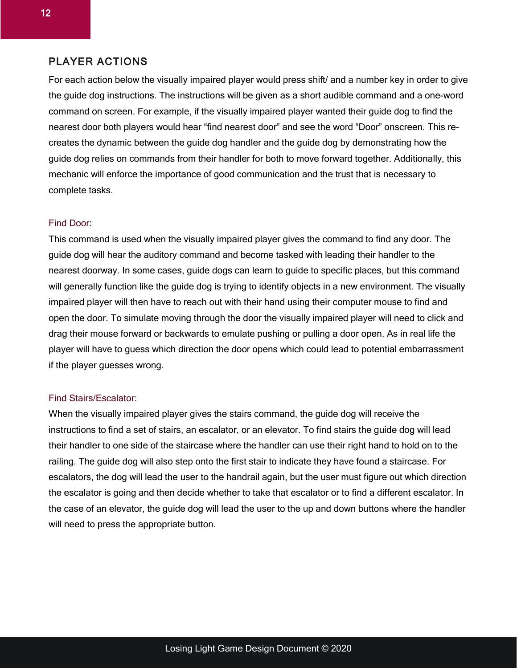#### PLAYER ACTIONS

For each action below the visually impaired player would press shift/ and a number key in order to give the guide dog instructions. The instructions will be given as a short audible command and a one-word command on screen. For example, if the visually impaired player wanted their guide dog to find the nearest door both players would hear "find nearest door" and see the word "Door" onscreen. This recreates the dynamic between the guide dog handler and the guide dog by demonstrating how the guide dog relies on commands from their handler for both to move forward together. Additionally, this mechanic will enforce the importance of good communication and the trust that is necessary to complete tasks.

#### Find Door:

This command is used when the visually impaired player gives the command to find any door. The guide dog will hear the auditory command and become tasked with leading their handler to the nearest doorway. In some cases, guide dogs can learn to guide to specific places, but this command will generally function like the guide dog is trying to identify objects in a new environment. The visually impaired player will then have to reach out with their hand using their computer mouse to find and open the door. To simulate moving through the door the visually impaired player will need to click and drag their mouse forward or backwards to emulate pushing or pulling a door open. As in real life the player will have to guess which direction the door opens which could lead to potential embarrassment if the player guesses wrong.

#### Find Stairs/Escalator:

When the visually impaired player gives the stairs command, the guide dog will receive the instructions to find a set of stairs, an escalator, or an elevator. To find stairs the guide dog will lead their handler to one side of the staircase where the handler can use their right hand to hold on to the railing. The guide dog will also step onto the first stair to indicate they have found a staircase. For escalators, the dog will lead the user to the handrail again, but the user must figure out which direction the escalator is going and then decide whether to take that escalator or to find a different escalator. In the case of an elevator, the guide dog will lead the user to the up and down buttons where the handler will need to press the appropriate button.